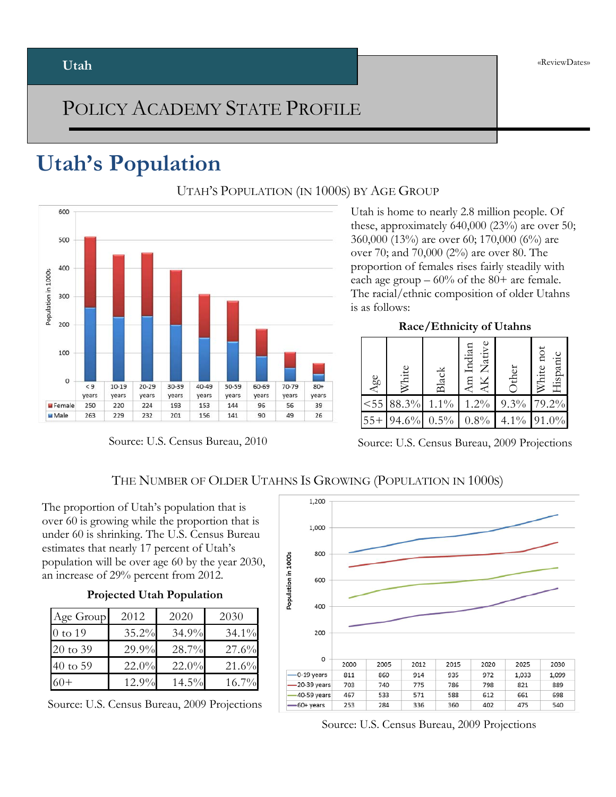### POLICY ACADEMY STATE PROFILE

### **Utah's Population**



Source: U.S. Census Bureau, 2010

UTAH'S POPULATION (IN 1000S) BY AGE GROUP

Utah is home to nearly 2.8 million people. Of these, approximately 640,000 (23%) are over 50; 360,000 (13%) are over 60; 170,000 (6%) are over 70; and 70,000 (2%) are over 80. The proportion of females rises fairly steadily with each age group  $-60\%$  of the 80+ are female. The racial/ethnic composition of older Utahns is as follows:

**Race/Ethnicity of Utahns**

| Age  | White | Black   | Native<br>Indian<br>ЯV<br>₽E | ther    | ă<br>Hispani<br>White |  |
|------|-------|---------|------------------------------|---------|-----------------------|--|
| < 55 | 88.3% | $1.1\%$ | $1.2\%$                      | $9.3\%$ | 79.2%                 |  |
|      | 94.6% | 0.5%    | $.8\%$                       | $4.1\%$ | $.0\%$                |  |

Source: U.S. Census Bureau, 2009 Projections

### THE NUMBER OF OLDER UTAHNS IS GROWING (POPULATION IN 1000S)

The proportion of Utah's population that is over 60 is growing while the proportion that is under 60 is shrinking. The U.S. Census Bureau estimates that nearly 17 percent of Utah's population will be over age 60 by the year 2030, an increase of 29% percent from 2012.

### **Projected Utah Population**

| Age Group           | 2012  | 2020  | 2030     |
|---------------------|-------|-------|----------|
| 0 to 19             | 35.2% | 34.9% | $34.1\%$ |
| 20 to 39            | 29.9% | 28.7% | 27.6%    |
| $40 \text{ to } 59$ | 22.0% | 22.0% | 21.6%    |
| $60+$               | 12.9% | 14.5% | $16.7\%$ |

Source: U.S. Census Bureau, 2009 Projections

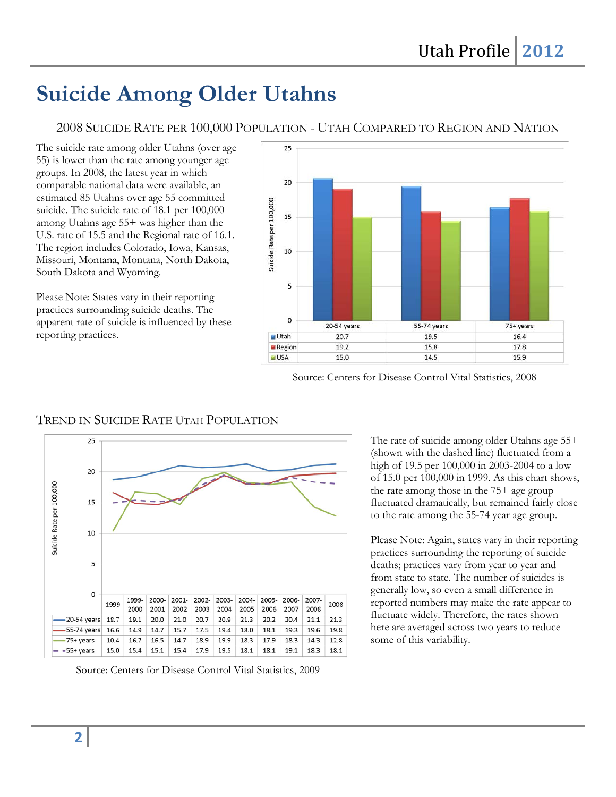### **Suicide Among Older Utahns**

2008 SUICIDE RATE PER 100,000 POPULATION - UTAH COMPARED TO REGION AND NATION

The suicide rate among older Utahns (over age 55) is lower than the rate among younger age groups. In 2008, the latest year in which comparable national data were available, an estimated 85 Utahns over age 55 committed suicide. The suicide rate of 18.1 per 100,000 among Utahns age 55+ was higher than the U.S. rate of 15.5 and the Regional rate of 16.1. The region includes Colorado, Iowa, Kansas, Missouri, Montana, Montana, North Dakota, South Dakota and Wyoming.

Please Note: States vary in their reporting practices surrounding suicide deaths. The apparent rate of suicide is influenced by these reporting practices.



Source: Centers for Disease Control Vital Statistics, 2008

### TREND IN SUICIDE RATE UTAH POPULATION



Source: Centers for Disease Control Vital Statistics, 2009

The rate of suicide among older Utahns age 55+ (shown with the dashed line) fluctuated from a high of 19.5 per 100,000 in 2003-2004 to a low of 15.0 per 100,000 in 1999. As this chart shows, the rate among those in the 75+ age group fluctuated dramatically, but remained fairly close to the rate among the 55-74 year age group.

Please Note: Again, states vary in their reporting practices surrounding the reporting of suicide deaths; practices vary from year to year and from state to state. The number of suicides is generally low, so even a small difference in reported numbers may make the rate appear to fluctuate widely. Therefore, the rates shown here are averaged across two years to reduce some of this variability.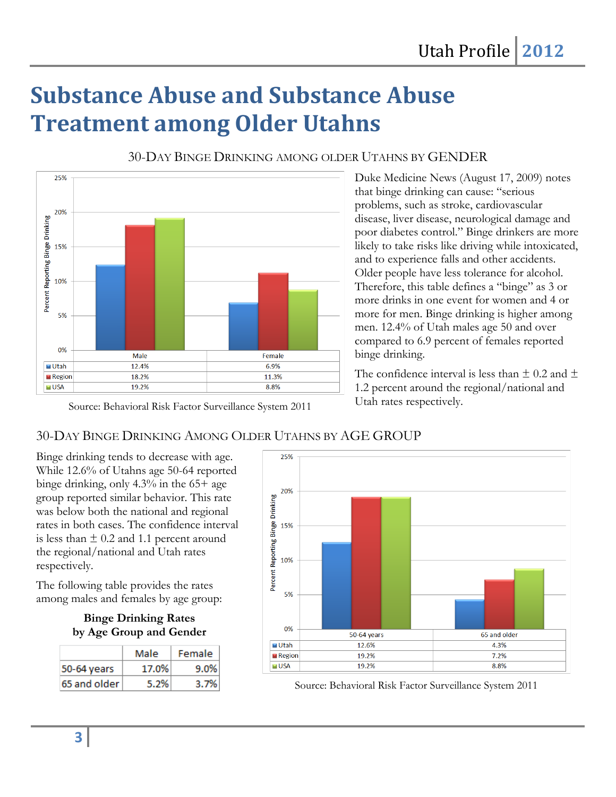# **Substance Abuse and Substance Abuse Treatment among Older Utahns**



30-DAY BINGE DRINKING AMONG OLDER UTAHNS BY GENDER

Duke Medicine News (August 17, 2009) notes that binge drinking can cause: "serious problems, such as stroke, cardiovascular disease, liver disease, neurological damage and poor diabetes control." Binge drinkers are more likely to take risks like driving while intoxicated, and to experience falls and other accidents. Older people have less tolerance for alcohol. Therefore, this table defines a "binge" as 3 or more drinks in one event for women and 4 or more for men. Binge drinking is higher among men. 12.4% of Utah males age 50 and over compared to 6.9 percent of females reported binge drinking.

The confidence interval is less than  $\pm$  0.2 and  $\pm$ 1.2 percent around the regional/national and Utah rates respectively.

### 30-DAY BINGE DRINKING AMONG OLDER UTAHNS BY AGE GROUP

Binge drinking tends to decrease with age. While 12.6% of Utahns age 50-64 reported binge drinking, only 4.3% in the 65+ age group reported similar behavior. This rate was below both the national and regional rates in both cases. The confidence interval is less than  $\pm$  0.2 and 1.1 percent around the regional/national and Utah rates respectively.

The following table provides the rates among males and females by age group:

**Binge Drinking Rates by Age Group and Gender**

|              | Male  | Female |  |
|--------------|-------|--------|--|
| 50-64 years  | 17.0% | 9.0%   |  |
| 65 and older | 5.2%  | 3.7%   |  |



Source: Behavioral Risk Factor Surveillance System 2011

Source: Behavioral Risk Factor Surveillance System 2011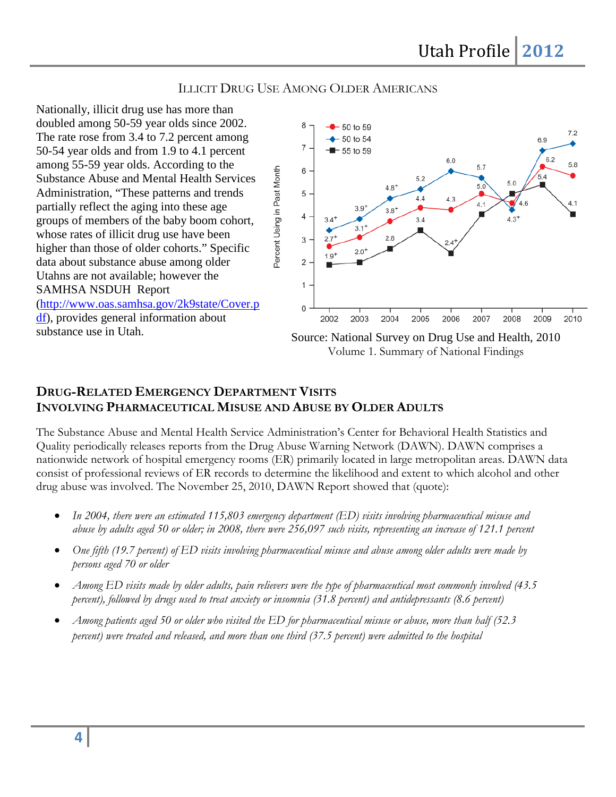### ILLICIT DRUG USE AMONG OLDER AMERICANS

Percent Using in Past Month

Nationally, illicit drug use has more than doubled among 50-59 year olds since 2002. The rate rose from 3.4 to 7.2 percent among 50-54 year olds and from 1.9 to 4.1 percent among 55-59 year olds. According to the Substance Abuse and Mental Health Services Administration, "These patterns and trends partially reflect the aging into these age groups of members of the baby boom cohort, whose rates of illicit drug use have been higher than those of older cohorts." Specific data about substance abuse among older Utahns are not available; however the SAMHSA NSDUH Report [\(http://www.oas.samhsa.gov/2k9state/Cover.p](http://www.oas.samhsa.gov/2k9state/Cover.pdf) [df\)](http://www.oas.samhsa.gov/2k9state/Cover.pdf), provides general information about



Volume 1. Summary of National Findings

### **DRUG-RELATED EMERGENCY DEPARTMENT VISITS INVOLVING PHARMACEUTICAL MISUSE AND ABUSE BY OLDER ADULTS**

The Substance Abuse and Mental Health Service Administration's Center for Behavioral Health Statistics and Quality periodically releases reports from the Drug Abuse Warning Network (DAWN). DAWN comprises a nationwide network of hospital emergency rooms (ER) primarily located in large metropolitan areas. DAWN data consist of professional reviews of ER records to determine the likelihood and extent to which alcohol and other drug abuse was involved. The November 25, 2010, DAWN Report showed that (quote):

- *In 2004, there were an estimated 115,803 emergency department (ED) visits involving pharmaceutical misuse and abuse by adults aged 50 or older; in 2008, there were 256,097 such visits, representing an increase of 121.1 percent*
- *One fifth (19.7 percent) of ED visits involving pharmaceutical misuse and abuse among older adults were made by persons aged 70 or older*
- *Among ED visits made by older adults, pain relievers were the type of pharmaceutical most commonly involved (43.5 percent*), followed by drugs used to treat anxiety or insomnia (31.8 percent) and antidepressants (8.6 percent)
- *Among patients aged 50 or older who visited the ED for pharmaceutical misuse or abuse, more than half (52.3 percent) were treated and released, and more than one third (37.5 percent) were admitted to the hospital*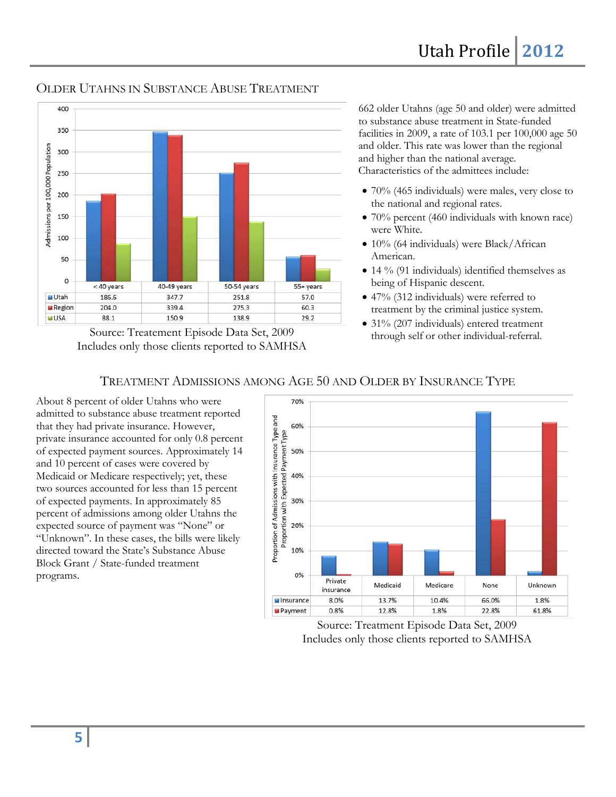

OLDER UTAHNS IN SUBSTANCE ABUSE TREATMENT

Source: Treatement Episode Data Set, 2009 Includes only those clients reported to SAMHSA

662 older Utahns (age 50 and older) were admitted to substance abuse treatment in State-funded facilities in 2009, a rate of 103.1 per 100,000 age 50 and older. This rate was lower than the regional and higher than the national average. Characteristics of the admittees include:

- $70\%$  (465 individuals) were males, very close to the national and regional rates.
- 70% percent (460 individuals with known race) were White.
- 10% (64 individuals) were Black/African American.
- 14 % (91 individuals) identified themselves as being of Hispanic descent.
- 47% (312 individuals) were referred to treatment by the criminal justice system.
- 31% (207 individuals) entered treatment through self or other individual-referral.

### TREATMENT ADMISSIONS AMONG AGE 50 AND OLDER BY INSURANCE TYPE

About 8 percent of older Utahns who were admitted to substance abuse treatment reported that they had private insurance. However, private insurance accounted for only 0.8 percent of expected payment sources. Approximately 14 and 10 percent of cases were covered by Medicaid or Medicare respectively; yet, these two sources accounted for less than 15 percent of expected payments. In approximately 85 percent of admissions among older Utahns the expected source of payment was "None" or "Unknown". In these cases, the bills were likely directed toward the State's Substance Abuse Block Grant / State-funded treatment programs.



Source: Treatment Episode Data Set, 2009 Includes only those clients reported to SAMHSA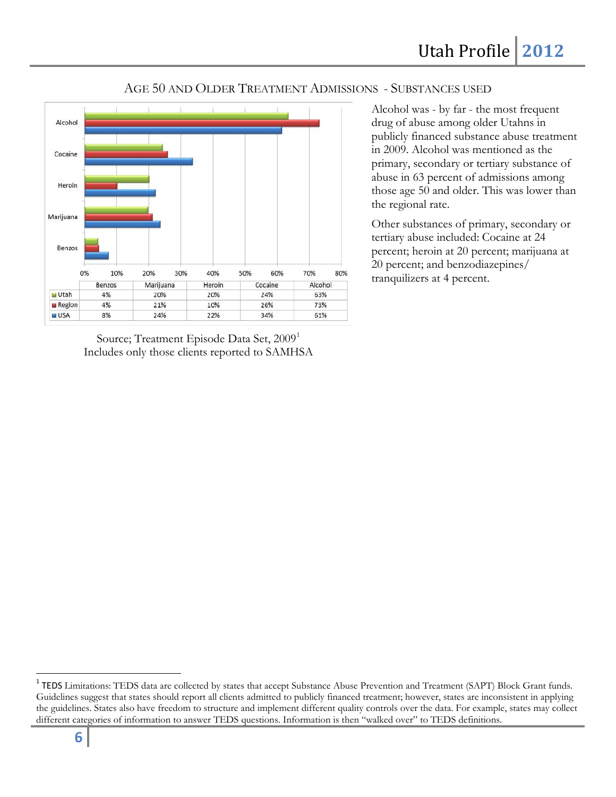#### AGE 50 AND OLDER TREATMENT ADMISSIONS - SUBSTANCES USED



Source; Treatment Episode Data Set, 2009<sup>[1](#page-5-0)</sup> Includes only those clients reported to SAMHSA

Alcohol was - by far - the most frequent drug of abuse among older Utahns in publicly financed substance abuse treatment in 2009. Alcohol was mentioned as the primary, secondary or tertiary substance of abuse in 63 percent of admissions among those age 50 and older. This was lower than the regional rate.

Other substances of primary, secondary or tertiary abuse included: Cocaine at 24 percent; heroin at 20 percent; marijuana at 20 percent; and benzodiazepines/ tranquilizers at 4 percent.

<span id="page-5-0"></span><sup>&</sup>lt;sup>1</sup> TEDS Limitations: TEDS data are collected by states that accept Substance Abuse Prevention and Treatment (SAPT) Block Grant funds. Guidelines suggest that states should report all clients admitted to publicly financed treatment; however, states are inconsistent in applying the guidelines. States also have freedom to structure and implement different quality controls over the data. For example, states may collect different categories of information to answer TEDS questions. Information is then "walked over" to TEDS definitions.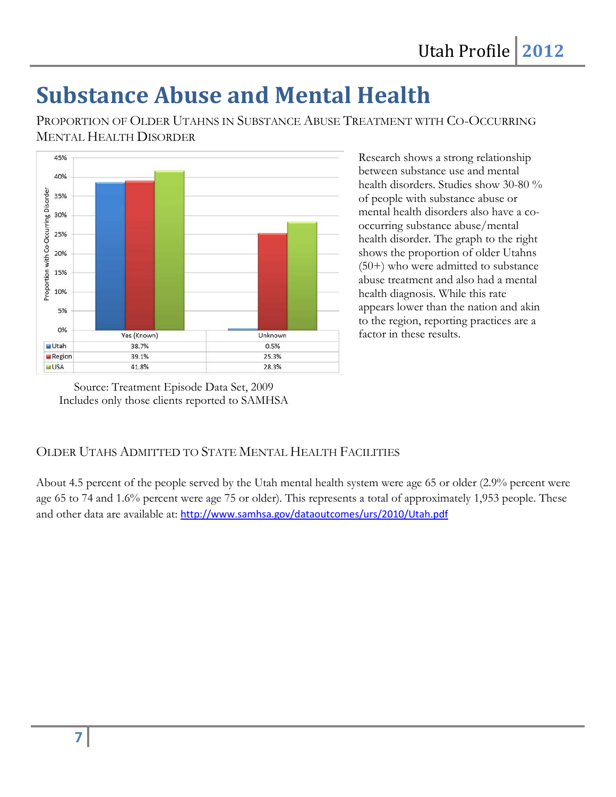## **Substance Abuse and Mental Health**

PROPORTION OF OLDER UTAHNS IN SUBSTANCE ABUSE TREATMENT WITH CO-OCCURRING MENTAL HEALTH DISORDER



Research shows a strong relationship between substance use and mental health disorders. Studies show 30-80 % of people with substance abuse or mental health disorders also have a cooccurring substance abuse/mental health disorder. The graph to the right shows the proportion of older Utahns (50+) who were admitted to substance abuse treatment and also had a mental health diagnosis. While this rate appears lower than the nation and akin to the region, reporting practices are a factor in these results.

Source: Treatment Episode Data Set, 2009 Includes only those clients reported to SAMHSA

### OLDER UTAHS ADMITTED TO STATE MENTAL HEALTH FACILITIES

About 4.5 percent of the people served by the Utah mental health system were age 65 or older (2.9% percent were age 65 to 74 and 1.6% percent were age 75 or older). This represents a total of approximately 1,953 people. These and other data are available at: <http://www.samhsa.gov/dataoutcomes/urs/2010/Utah.pdf>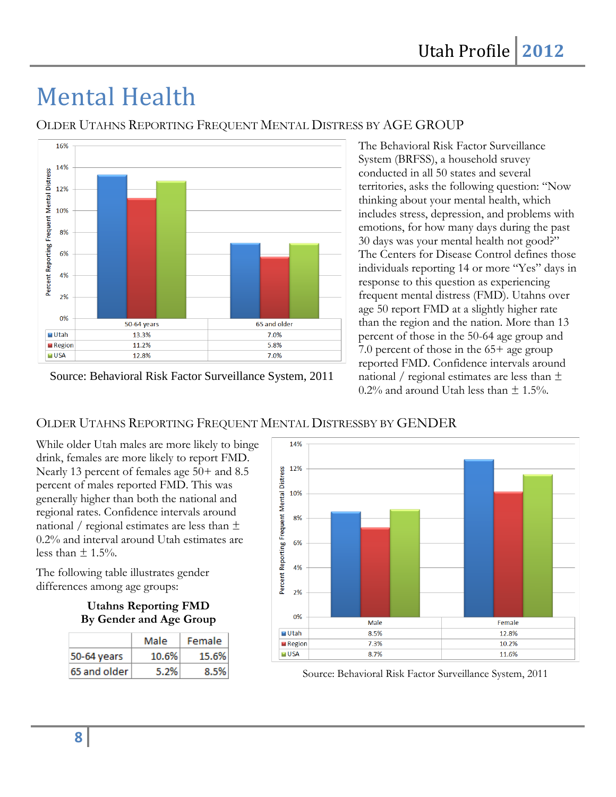# Mental Health



OLDER UTAHNS REPORTING FREQUENT MENTAL DISTRESS BY AGE GROUP

Source: Behavioral Risk Factor Surveillance System, 2011

The Behavioral Risk Factor Surveillance System (BRFSS), a household sruvey conducted in all 50 states and several territories, asks the following question: "Now thinking about your mental health, which includes stress, depression, and problems with emotions, for how many days during the past 30 days was your mental health not good?" The Centers for Disease Control defines those individuals reporting 14 or more "Yes" days in response to this question as experiencing frequent mental distress (FMD). Utahns over age 50 report FMD at a slightly higher rate than the region and the nation. More than 13 percent of those in the 50-64 age group and 7.0 percent of those in the 65+ age group reported FMD. Confidence intervals around national / regional estimates are less than  $\pm$  $0.2\%$  and around Utah less than  $\pm$  1.5%.

### OLDER UTAHNS REPORTING FREQUENT MENTAL DISTRESSBY BY GENDER

While older Utah males are more likely to binge drink, females are more likely to report FMD. Nearly 13 percent of females age 50+ and 8.5 percent of males reported FMD. This was generally higher than both the national and regional rates. Confidence intervals around national / regional estimates are less than  $\pm$ 0.2% and interval around Utah estimates are less than  $\pm$  1.5%.

The following table illustrates gender differences among age groups:

### **Utahns Reporting FMD By Gender and Age Group**

|              | Male     | Female |  |  |
|--------------|----------|--------|--|--|
| 50-64 years  | $10.6\%$ | 15.6%  |  |  |
| 65 and older | 5.2%     | 8.5%   |  |  |



Source: Behavioral Risk Factor Surveillance System, 2011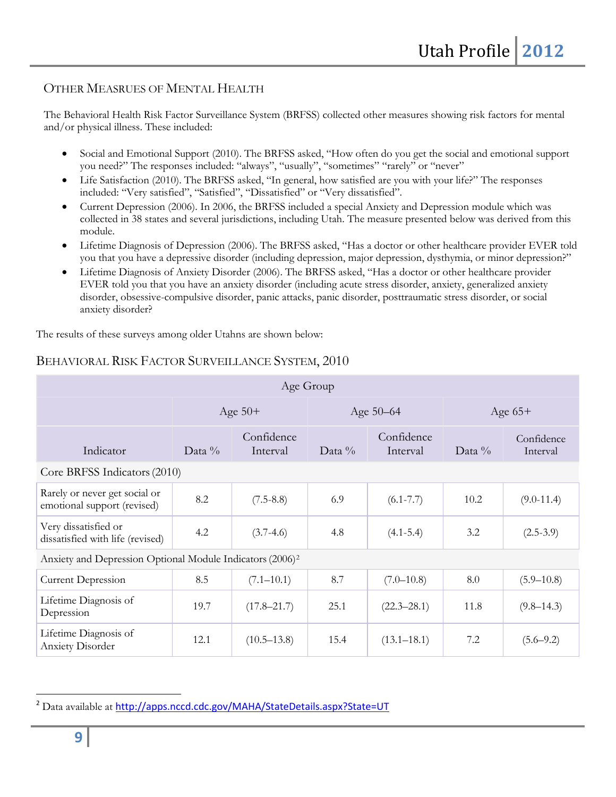### OTHER MEASRUES OF MENTAL HEALTH

The Behavioral Health Risk Factor Surveillance System (BRFSS) collected other measures showing risk factors for mental and/or physical illness. These included:

- Social and Emotional Support (2010). The BRFSS asked, "How often do you get the social and emotional support you need?" The responses included: "always", "usually", "sometimes" "rarely" or "never"
- Life Satisfaction (2010). The BRFSS asked, "In general, how satisfied are you with your life?" The responses included: "Very satisfied", "Satisfied", "Dissatisfied" or "Very dissatisfied".
- Current Depression (2006). In 2006, the BRFSS included a special Anxiety and Depression module which was collected in 38 states and several jurisdictions, including Utah. The measure presented below was derived from this module.
- Lifetime Diagnosis of Depression (2006). The BRFSS asked, "Has a doctor or other healthcare provider EVER told you that you have a depressive disorder (including depression, major depression, dysthymia, or minor depression?"
- Lifetime Diagnosis of Anxiety Disorder (2006). The BRFSS asked, "Has a doctor or other healthcare provider EVER told you that you have an anxiety disorder (including acute stress disorder, anxiety, generalized anxiety disorder, obsessive-compulsive disorder, panic attacks, panic disorder, posttraumatic stress disorder, or social anxiety disorder?

The results of these surveys among older Utahns are shown below:

| Age Group                                                             |           |                        |           |                        |           |                        |
|-----------------------------------------------------------------------|-----------|------------------------|-----------|------------------------|-----------|------------------------|
|                                                                       | Age $50+$ |                        | Age 50-64 |                        | Age $65+$ |                        |
| Indicator                                                             | Data $\%$ | Confidence<br>Interval | Data $\%$ | Confidence<br>Interval | Data $\%$ | Confidence<br>Interval |
| Core BRFSS Indicators (2010)                                          |           |                        |           |                        |           |                        |
| Rarely or never get social or<br>emotional support (revised)          | 8.2       | $(7.5 - 8.8)$          | 6.9       | $(6.1 - 7.7)$          | 10.2      | $(9.0-11.4)$           |
| Very dissatisfied or<br>dissatisfied with life (revised)              | 4.2       | $(3.7-4.6)$            | 4.8       | $(4.1 - 5.4)$          | 3.2       | $(2.5-3.9)$            |
| Anxiety and Depression Optional Module Indicators (2006) <sup>2</sup> |           |                        |           |                        |           |                        |
| <b>Current Depression</b>                                             | 8.5       | $(7.1 - 10.1)$         | 8.7       | $(7.0 - 10.8)$         | 8.0       | $(5.9 - 10.8)$         |
| Lifetime Diagnosis of<br>Depression                                   | 19.7      | $(17.8 - 21.7)$        | 25.1      | $(22.3 - 28.1)$        | 11.8      | $(9.8 - 14.3)$         |
| Lifetime Diagnosis of<br><b>Anxiety Disorder</b>                      | 12.1      | $(10.5 - 13.8)$        | 15.4      | $(13.1 - 18.1)$        | 7.2       | $(5.6 - 9.2)$          |

### BEHAVIORAL RISK FACTOR SURVEILLANCE SYSTEM, 2010

<span id="page-8-0"></span><sup>&</sup>lt;sup>2</sup> Data available at <http://apps.nccd.cdc.gov/MAHA/StateDetails.aspx?State=UT>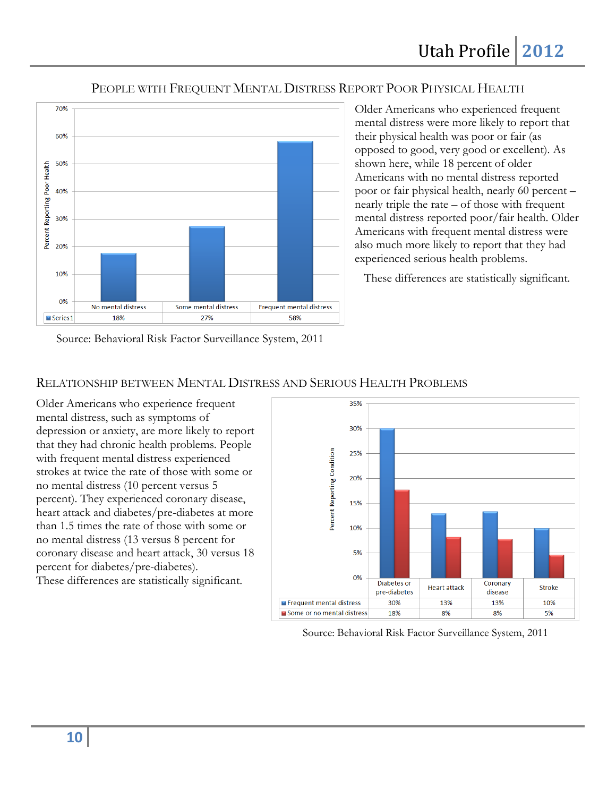### PEOPLE WITH FREQUENT MENTAL DISTRESS REPORT POOR PHYSICAL HEALTH



Older Americans who experienced frequent mental distress were more likely to report that their physical health was poor or fair (as opposed to good, very good or excellent). As shown here, while 18 percent of older Americans with no mental distress reported poor or fair physical health, nearly 60 percent – nearly triple the rate – of those with frequent mental distress reported poor/fair health. Older Americans with frequent mental distress were also much more likely to report that they had experienced serious health problems.

These differences are statistically significant.

Source: Behavioral Risk Factor Surveillance System, 2011

### RELATIONSHIP BETWEEN MENTAL DISTRESS AND SERIOUS HEALTH PROBLEMS

Older Americans who experience frequent mental distress, such as symptoms of depression or anxiety, are more likely to report that they had chronic health problems. People with frequent mental distress experienced strokes at twice the rate of those with some or no mental distress (10 percent versus 5 percent). They experienced coronary disease, heart attack and diabetes/pre-diabetes at more than 1.5 times the rate of those with some or no mental distress (13 versus 8 percent for coronary disease and heart attack, 30 versus 18 percent for diabetes/pre-diabetes). These differences are statistically significant.



Source: Behavioral Risk Factor Surveillance System, 2011